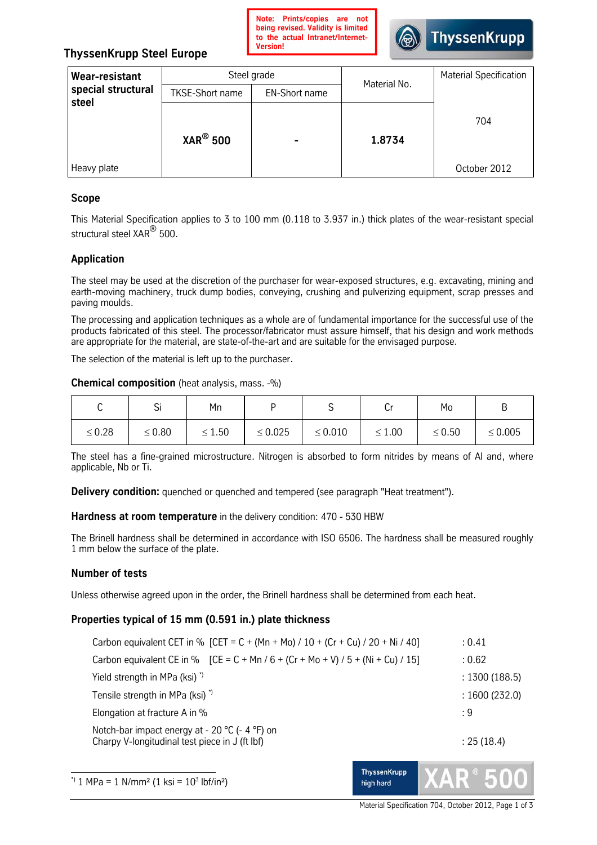

# **ThyssenKrupp Steel Europe**

| <b>Wear-resistant</b>       | Steel grade            |                      | Material No. | <b>Material Specification</b> |
|-----------------------------|------------------------|----------------------|--------------|-------------------------------|
| special structural<br>steel | <b>TKSE-Short name</b> | <b>EN-Short name</b> |              |                               |
|                             | $XAR^{\circledR}$ 500  |                      | 1.8734       | 704                           |
| Heavy plate                 |                        |                      |              | October 2012                  |

## **Scope**

This Material Specification applies to 3 to 100 mm (0.118 to 3.937 in.) thick plates of the wear-resistant special structural steel XAR<sup>®</sup> 500.

## **Application**

The steel may be used at the discretion of the purchaser for wear-exposed structures, e.g. excavating, mining and earth-moving machinery, truck dump bodies, conveying, crushing and pulverizing equipment, scrap presses and paving moulds.

The processing and application techniques as a whole are of fundamental importance for the successful use of the products fabricated of this steel. The processor/fabricator must assure himself, that his design and work methods are appropriate for the material, are state-of-the-art and are suitable for the envisaged purpose.

The selection of the material is left up to the purchaser.

### **Chemical composition** (heat analysis, mass. -%)

|             | اب          | Mn          |              |              | ◡           | Mo          | в            |
|-------------|-------------|-------------|--------------|--------------|-------------|-------------|--------------|
| $\leq 0.28$ | $\leq 0.80$ | $\leq 1.50$ | $\leq 0.025$ | $\leq 0.010$ | $\leq 1.00$ | $\leq 0.50$ | $\leq 0.005$ |

The steel has a fine-grained microstructure. Nitrogen is absorbed to form nitrides by means of Al and, where applicable, Nb or Ti.

**Delivery condition:** quenched or quenched and tempered (see paragraph "Heat treatment").

**Hardness at room temperature** in the delivery condition: 470 - 530 HBW

The Brinell hardness shall be determined in accordance with ISO 6506. The hardness shall be measured roughly 1 mm below the surface of the plate.

### **Number of tests**

Unless otherwise agreed upon in the order, the Brinell hardness shall be determined from each heat.

### **Properties typical of 15 mm (0.591 in.) plate thickness**

| Carbon equivalent CET in % [CET = C + (Mn + Mo) / 10 + (Cr + Cu) / 20 + Ni / 40]                 | : 0.41        |
|--------------------------------------------------------------------------------------------------|---------------|
| Carbon equivalent CE in % $[CE = C + Mn / 6 + (Cr + Mo + V) / 5 + (Ni + Cu) / 15]$               | : 0.62        |
| Yield strength in MPa (ksi) <sup>*</sup>                                                         | : 1300(188.5) |
| Tensile strength in MPa (ksi) <sup>*</sup>                                                       | : 1600(232.0) |
| Elongation at fracture A in %                                                                    | : 9           |
| Notch-bar impact energy at - 20 °C (- 4 °F) on<br>Charpy V-longitudinal test piece in J (ft lbf) | : 25(18.4)    |

 $\overline{a}$  $*$ ) 1 MPa = 1 N/mm<sup>2</sup> (1 ksi = 10<sup>3</sup> lbf/in<sup>2</sup>)



**ThyssenKrupp** high hard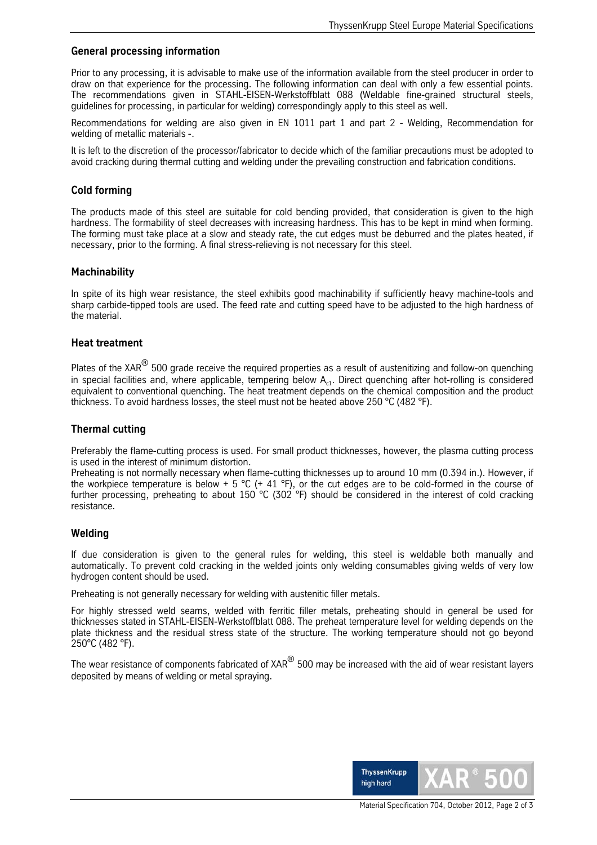## **General processing information**

Prior to any processing, it is advisable to make use of the information available from the steel producer in order to draw on that experience for the processing. The following information can deal with only a few essential points. The recommendations given in STAHL-EISEN-Werkstoffblatt 088 (Weldable fine-grained structural steels, guidelines for processing, in particular for welding) correspondingly apply to this steel as well.

Recommendations for welding are also given in EN 1011 part 1 and part 2 - Welding, Recommendation for welding of metallic materials -.

It is left to the discretion of the processor/fabricator to decide which of the familiar precautions must be adopted to avoid cracking during thermal cutting and welding under the prevailing construction and fabrication conditions.

### **Cold forming**

The products made of this steel are suitable for cold bending provided, that consideration is given to the high hardness. The formability of steel decreases with increasing hardness. This has to be kept in mind when forming. The forming must take place at a slow and steady rate, the cut edges must be deburred and the plates heated, if necessary, prior to the forming. A final stress-relieving is not necessary for this steel.

## **Machinability**

In spite of its high wear resistance, the steel exhibits good machinability if sufficiently heavy machine-tools and sharp carbide-tipped tools are used. The feed rate and cutting speed have to be adjusted to the high hardness of the material.

### **Heat treatment**

Plates of the XAR<sup>®</sup> 500 grade receive the required properties as a result of austenitizing and follow-on quenching in special facilities and, where applicable, tempering below  $A_{c1}$ . Direct quenching after hot-rolling is considered equivalent to conventional quenching. The heat treatment depends on the chemical composition and the product thickness. To avoid hardness losses, the steel must not be heated above 250 °C (482 °F).

## **Thermal cutting**

Preferably the flame-cutting process is used. For small product thicknesses, however, the plasma cutting process is used in the interest of minimum distortion.

Preheating is not normally necessary when flame-cutting thicknesses up to around 10 mm (0.394 in.). However, if the workpiece temperature is below + 5 °C (+ 41 °F), or the cut edges are to be cold-formed in the course of further processing, preheating to about 150 °C (302 °F) should be considered in the interest of cold cracking resistance.

### **Welding**

If due consideration is given to the general rules for welding, this steel is weldable both manually and automatically. To prevent cold cracking in the welded joints only welding consumables giving welds of very low hydrogen content should be used.

Preheating is not generally necessary for welding with austenitic filler metals.

For highly stressed weld seams, welded with ferritic filler metals, preheating should in general be used for thicknesses stated in STAHL-EISEN-Werkstoffblatt 088. The preheat temperature level for welding depends on the plate thickness and the residual stress state of the structure. The working temperature should not go beyond 250°C (482 °F).

The wear resistance of components fabricated of XAR<sup>®</sup> 500 may be increased with the aid of wear resistant layers deposited by means of welding or metal spraying.